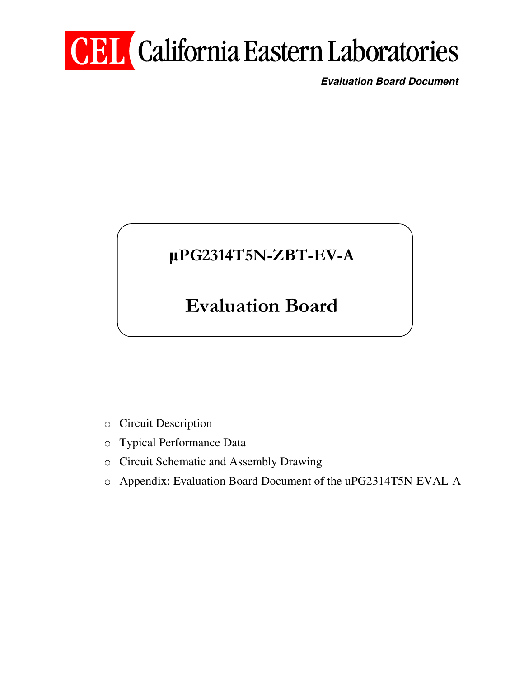# **CEL** California Eastern Laboratories

**Evaluation Board Document** 

## µPG2314T5N-ZBT-EV-A

## Evaluation Board

- o Circuit Description
- o Typical Performance Data
- o Circuit Schematic and Assembly Drawing
- o Appendix: Evaluation Board Document of the uPG2314T5N-EVAL-A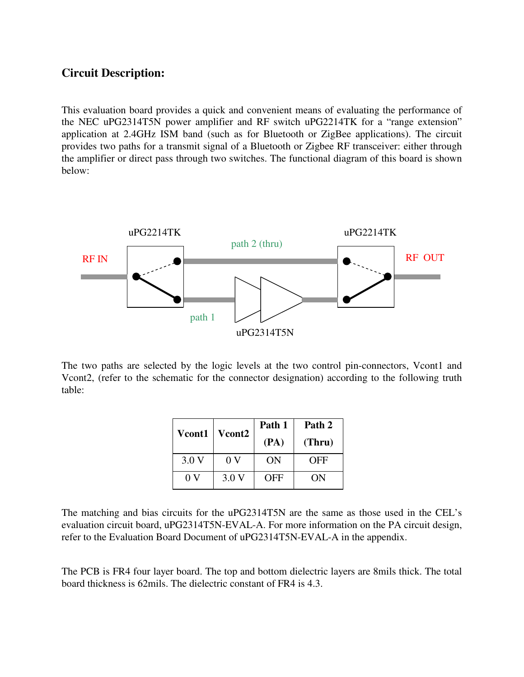#### **Circuit Description:**

This evaluation board provides a quick and convenient means of evaluating the performance of the NEC uPG2314T5N power amplifier and RF switch uPG2214TK for a "range extension" application at 2.4GHz ISM band (such as for Bluetooth or ZigBee applications). The circuit provides two paths for a transmit signal of a Bluetooth or Zigbee RF transceiver: either through the amplifier or direct pass through two switches. The functional diagram of this board is shown below:



The two paths are selected by the logic levels at the two control pin-connectors, Vcont1 and Vcont2, (refer to the schematic for the connector designation) according to the following truth table:

| <b>Vcont1</b> | Vcont <sub>2</sub> | Path 1<br>(PA) | Path 2<br>(Thru) |
|---------------|--------------------|----------------|------------------|
| 3.0V          | 0 V                | ON             | OFF              |
| 0 V           | 3.0V               | OFF            | ON               |

The matching and bias circuits for the uPG2314T5N are the same as those used in the CEL's evaluation circuit board, uPG2314T5N-EVAL-A. For more information on the PA circuit design, refer to the Evaluation Board Document of uPG2314T5N-EVAL-A in the appendix.

The PCB is FR4 four layer board. The top and bottom dielectric layers are 8mils thick. The total board thickness is 62mils. The dielectric constant of FR4 is 4.3.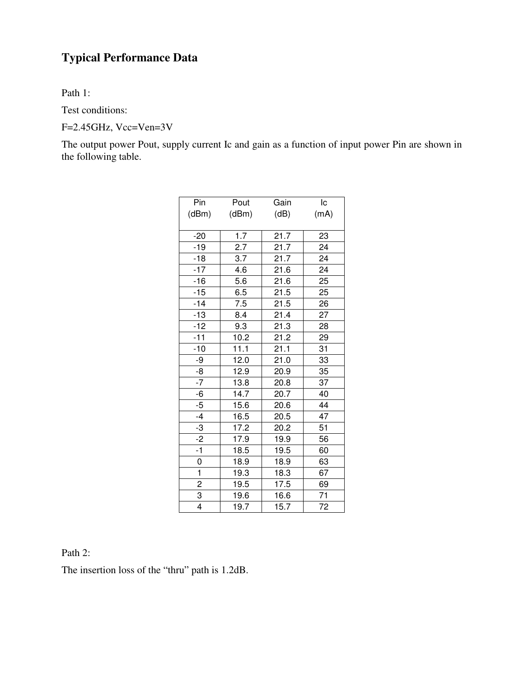### **Typical Performance Data**

Path 1:

Test conditions:

F=2.45GHz, Vcc=Ven=3V

The output power Pout, supply current Ic and gain as a function of input power Pin are shown in the following table.

| Pin            | Pout  | Gain | Iс   |
|----------------|-------|------|------|
| (dBm)          | (dBm) | (dB) | (mA) |
|                |       |      |      |
| $-20$          | 1.7   | 21.7 | 23   |
| $-19$          | 2.7   | 21.7 | 24   |
| $-18$          | 3.7   | 21.7 | 24   |
| $-17$          | 4.6   | 21.6 | 24   |
| $-16$          | 5.6   | 21.6 | 25   |
| $-15$          | 6.5   | 21.5 | 25   |
| $-14$          | 7.5   | 21.5 | 26   |
| $-13$          | 8.4   | 21.4 | 27   |
| $-12$          | 9.3   | 21.3 | 28   |
| $-11$          | 10.2  | 21.2 | 29   |
| $-10$          | 11.1  | 21.1 | 31   |
| -9             | 12.0  | 21.0 | 33   |
| -8             | 12.9  | 20.9 | 35   |
| $-7$           | 13.8  | 20.8 | 37   |
| -6             | 14.7  | 20.7 | 40   |
| $-5$           | 15.6  | 20.6 | 44   |
| $-4$           | 16.5  | 20.5 | 47   |
| -3             | 17.2  | 20.2 | 51   |
| $-2$           | 17.9  | 19.9 | 56   |
| $-1$           | 18.5  | 19.5 | 60   |
| 0              | 18.9  | 18.9 | 63   |
| $\mathbf{1}$   | 19.3  | 18.3 | 67   |
| $\overline{2}$ | 19.5  | 17.5 | 69   |
| 3              | 19.6  | 16.6 | 71   |
| 4              | 19.7  | 15.7 | 72   |

Path 2:

The insertion loss of the "thru" path is 1.2dB.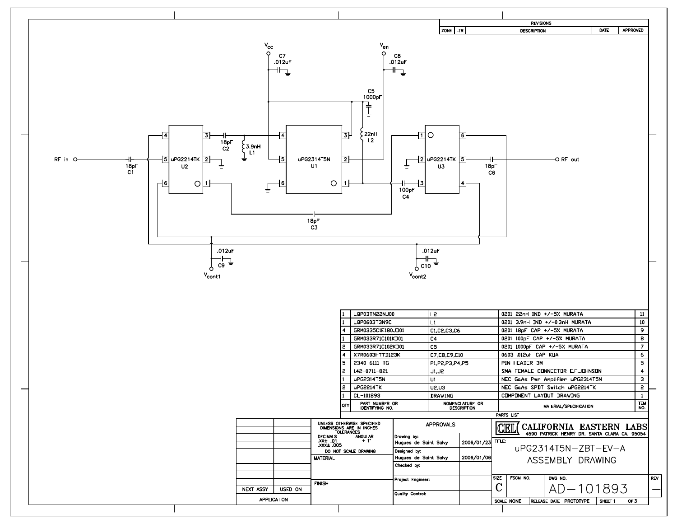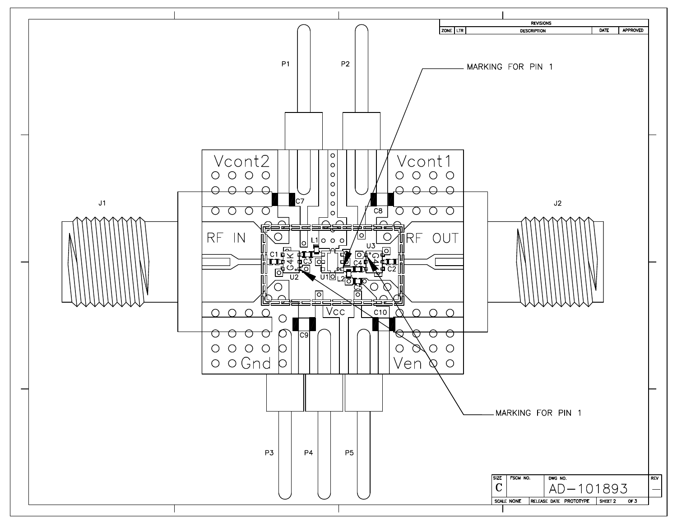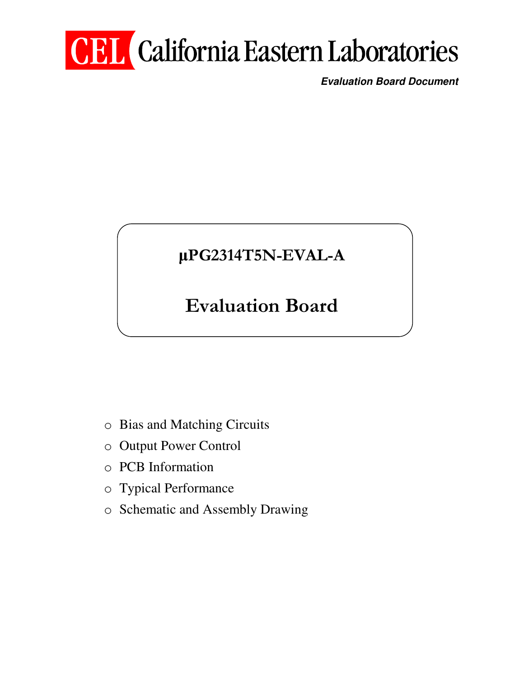# **CEL** California Eastern Laboratories

**Evaluation Board Document** 

## µPG2314T5N-EVAL-A

## Evaluation Board

- o Bias and Matching Circuits
- o Output Power Control
- o PCB Information
- o Typical Performance
- o Schematic and Assembly Drawing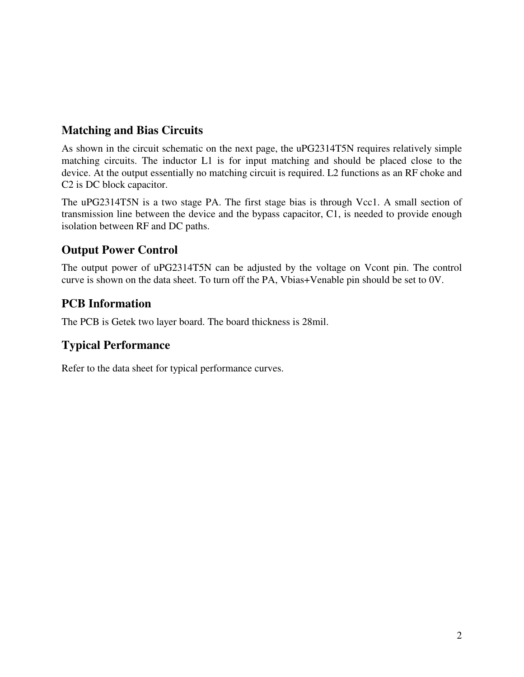### **Matching and Bias Circuits**

As shown in the circuit schematic on the next page, the uPG2314T5N requires relatively simple matching circuits. The inductor L1 is for input matching and should be placed close to the device. At the output essentially no matching circuit is required. L2 functions as an RF choke and C2 is DC block capacitor.

The uPG2314T5N is a two stage PA. The first stage bias is through Vcc1. A small section of transmission line between the device and the bypass capacitor, C1, is needed to provide enough isolation between RF and DC paths.

### **Output Power Control**

The output power of uPG2314T5N can be adjusted by the voltage on Vcont pin. The control curve is shown on the data sheet. To turn off the PA, Vbias+Venable pin should be set to 0V.

#### **PCB Information**

The PCB is Getek two layer board. The board thickness is 28mil.

#### **Typical Performance**

Refer to the data sheet for typical performance curves.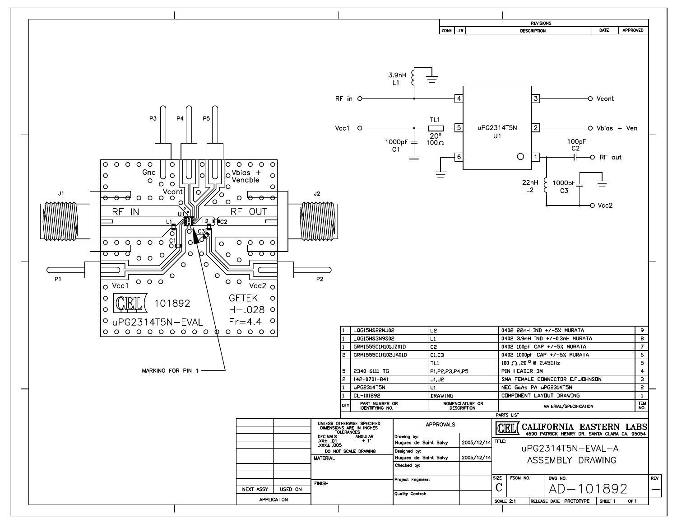